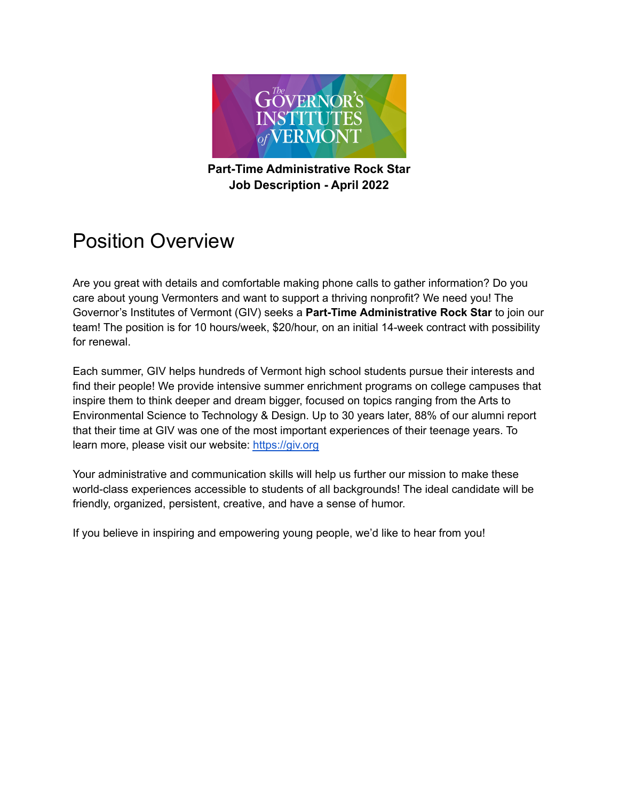

#### **Part-Time Administrative Rock Star Job Description - April 2022**

#### Position Overview

Are you great with details and comfortable making phone calls to gather information? Do you care about young Vermonters and want to support a thriving nonprofit? We need you! The Governor's Institutes of Vermont (GIV) seeks a **Part-Time Administrative Rock Star** to join our team! The position is for 10 hours/week, \$20/hour, on an initial 14-week contract with possibility for renewal.

Each summer, GIV helps hundreds of Vermont high school students pursue their interests and find their people! We provide intensive summer enrichment programs on college campuses that inspire them to think deeper and dream bigger, focused on topics ranging from the Arts to Environmental Science to Technology & Design. Up to 30 years later, 88% of our alumni report that their time at GIV was one of the most important experiences of their teenage years. To learn more, please visit our website: <https://giv.org>

Your administrative and communication skills will help us further our mission to make these world-class experiences accessible to students of all backgrounds! The ideal candidate will be friendly, organized, persistent, creative, and have a sense of humor.

If you believe in inspiring and empowering young people, we'd like to hear from you!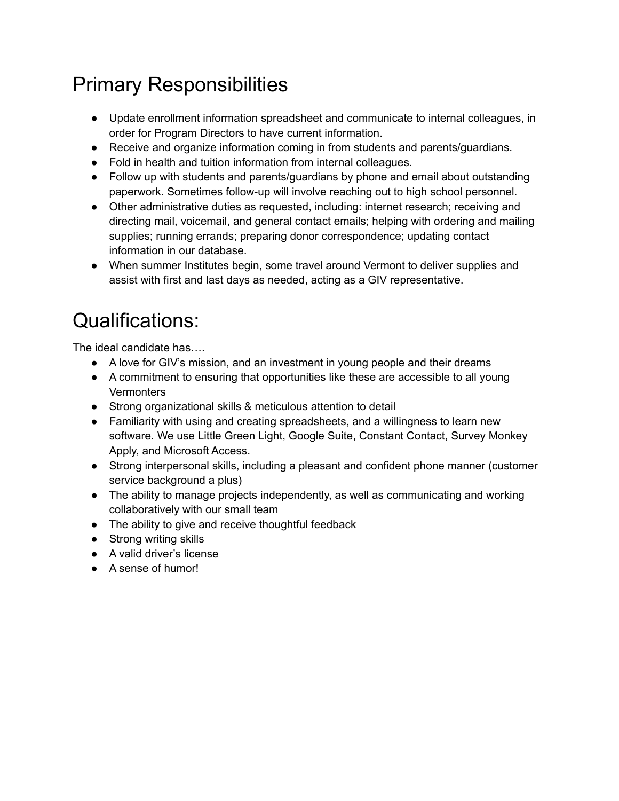# Primary Responsibilities

- Update enrollment information spreadsheet and communicate to internal colleagues, in order for Program Directors to have current information.
- Receive and organize information coming in from students and parents/guardians.
- Fold in health and tuition information from internal colleagues.
- Follow up with students and parents/guardians by phone and email about outstanding paperwork. Sometimes follow-up will involve reaching out to high school personnel.
- Other administrative duties as requested, including: internet research; receiving and directing mail, voicemail, and general contact emails; helping with ordering and mailing supplies; running errands; preparing donor correspondence; updating contact information in our database.
- When summer Institutes begin, some travel around Vermont to deliver supplies and assist with first and last days as needed, acting as a GIV representative.

## Qualifications:

The ideal candidate has….

- A love for GIV's mission, and an investment in young people and their dreams
- A commitment to ensuring that opportunities like these are accessible to all young **Vermonters**
- Strong organizational skills & meticulous attention to detail
- Familiarity with using and creating spreadsheets, and a willingness to learn new software. We use Little Green Light, Google Suite, Constant Contact, Survey Monkey Apply, and Microsoft Access.
- Strong interpersonal skills, including a pleasant and confident phone manner (customer service background a plus)
- The ability to manage projects independently, as well as communicating and working collaboratively with our small team
- The ability to give and receive thoughtful feedback
- Strong writing skills
- **●** A valid driver's license
- A sense of humor!